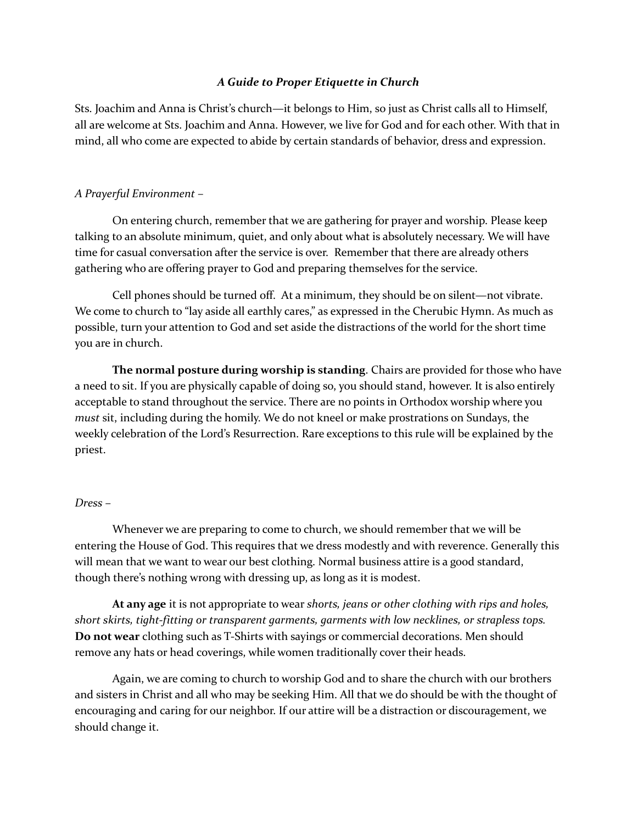## *A Guide to Proper Etiquette in Church*

Sts. Joachim and Anna is Christ's church—it belongs to Him, so just as Christ calls all to Himself, all are welcome at Sts. Joachim and Anna. However, we live for God and for each other. With that in mind, all who come are expected to abide by certain standards of behavior, dress and expression.

## *A Prayerful Environment –*

On entering church, remember that we are gathering for prayer and worship. Please keep talking to an absolute minimum, quiet, and only about what is absolutely necessary. We will have time for casual conversation after the service is over. Remember that there are already others gathering who are offering prayer to God and preparing themselves for the service.

Cell phones should be turned off. At a minimum, they should be on silent—not vibrate. We come to church to "lay aside all earthly cares," as expressed in the Cherubic Hymn. As much as possible, turn your attention to God and set aside the distractions of the world for the short time you are in church.

**The normal posture during worship is standing**. Chairs are provided for those who have a need to sit. If you are physically capable of doing so, you should stand, however. It is also entirely acceptable to stand throughout the service. There are no points in Orthodox worship where you *must* sit, including during the homily. We do not kneel or make prostrations on Sundays, the weekly celebration of the Lord's Resurrection. Rare exceptions to this rule will be explained by the priest.

### *Dress –*

Whenever we are preparing to come to church, we should remember that we will be entering the House of God. This requires that we dress modestly and with reverence. Generally this will mean that we want to wear our best clothing. Normal business attire is a good standard, though there's nothing wrong with dressing up, as long as it is modest.

**At any age** it is not appropriate to wear *shorts, jeans or other clothing with rips and holes, short skirts, tight-fitting or transparent garments, garments with low necklines, or strapless tops.* **Do not wear** clothing such as T-Shirts with sayings or commercial decorations. Men should remove any hats or head coverings, while women traditionally cover their heads.

Again, we are coming to church to worship God and to share the church with our brothers and sisters in Christ and all who may be seeking Him. All that we do should be with the thought of encouraging and caring for our neighbor. If our attire will be a distraction or discouragement, we should change it.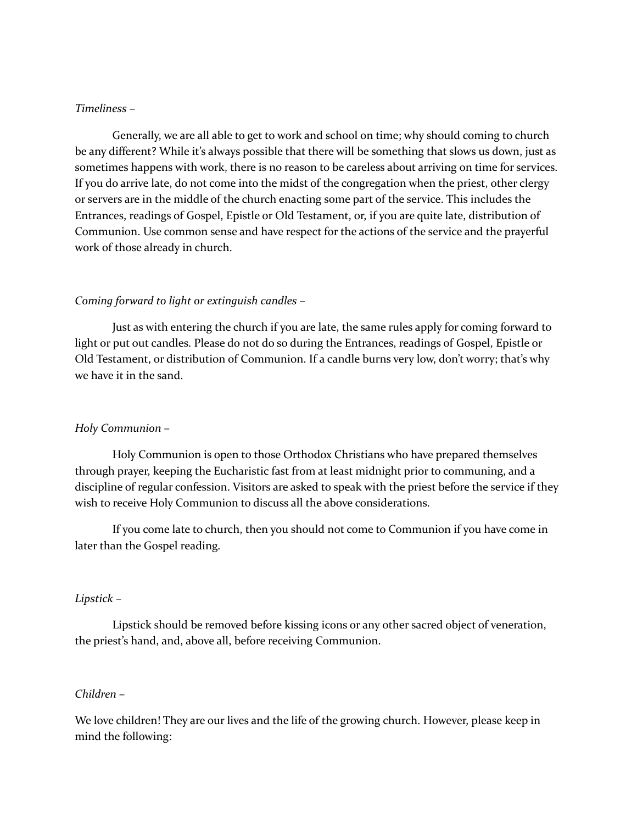### *Timeliness –*

Generally, we are all able to get to work and school on time; why should coming to church be any different? While it's always possible that there will be something that slows us down, just as sometimes happens with work, there is no reason to be careless about arriving on time for services. If you do arrive late, do not come into the midst of the congregation when the priest, other clergy or servers are in the middle of the church enacting some part of the service. This includes the Entrances, readings of Gospel, Epistle or Old Testament, or, if you are quite late, distribution of Communion. Use common sense and have respect for the actions of the service and the prayerful work of those already in church.

### *Coming forward to light or extinguish candles –*

Just as with entering the church if you are late, the same rules apply for coming forward to light or put out candles. Please do not do so during the Entrances, readings of Gospel, Epistle or Old Testament, or distribution of Communion. If a candle burns very low, don't worry; that's why we have it in the sand.

#### *Holy Communion –*

Holy Communion is open to those Orthodox Christians who have prepared themselves through prayer, keeping the Eucharistic fast from at least midnight prior to communing, and a discipline of regular confession. Visitors are asked to speak with the priest before the service if they wish to receive Holy Communion to discuss all the above considerations.

If you come late to church, then you should not come to Communion if you have come in later than the Gospel reading.

#### *Lipstick –*

Lipstick should be removed before kissing icons or any other sacred object of veneration, the priest's hand, and, above all, before receiving Communion.

### *Children –*

We love children! They are our lives and the life of the growing church. However, please keep in mind the following: